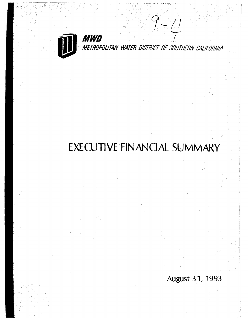

METROPOLITAN WATER DISTRICT OF SOUTHERN CALIFORNIA

 $9-$ 

 $\left\langle \frac{1}{2} \right\rangle$ 

# EXECUTIVE FINANCIAL SUMMARY

August 31, 1993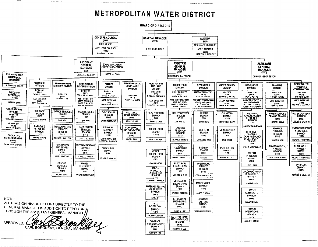# **METROPOLITAN WATER DISTRICT**

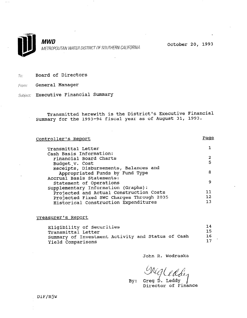

October 20, 1993

To: Board of Directors

From: General Manager

Subject: Executive Financial Summary

Transmitted herewith is the District's Executive Financial Summary for the 1993-94 fiscal year as of August 31, 1993.

Controller's Report Transmittal Letter Cash Basis Information: Financial Board Charts Budget-v. Cost Receipts, Disbursements, Balances and Appropriated Funds by Fund Type Accrual Basis Statements: Statement of Operations Statement Of Operations<br>Supplementary Information (Graphs pprementary information (draphs). Projected and Actual Construction Costs<br>Projected Fixed SWC Charges Through 2035 Historical Construction Expenditures Page 1 2  $\leq$ 8 9 12  $\frac{12}{13}$ 

Treasurer's Report

| Eligibility of Securities                         | 14  |
|---------------------------------------------------|-----|
| Transmittal Letter                                | -15 |
| Summary of Investment Activity and Status of Cash | 16  |
| Yield Comparisons                                 | 17  |

John R. Wodraska

 $\sqrt{\Delta n}$  $\frac{1}{2}$  Grand

Greg D. Director of Finance

DIF/mjw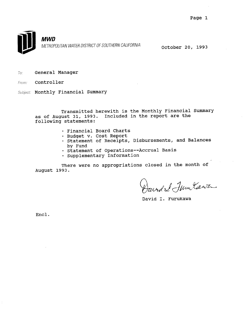

 $7o:$  General Manager

From: Controller

Subject: Monthly Financial Summary

Transmitted herewith is the Monthly Financial Summary as of August 31, 1993. Included in the report are the following statements:

- · Financial Board Charts
- · Budget v. Cost Report
- · Statement of Receipts, Disbursements, and Balances by Fund
- . Statement of Operations--Accrual Basis
- · Supplementary Information

There were no appropriations closed in the month of August 1993.

David & Jun Kawa

David I. Furukawa

Encl.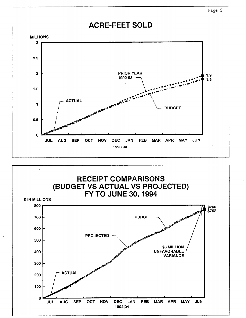

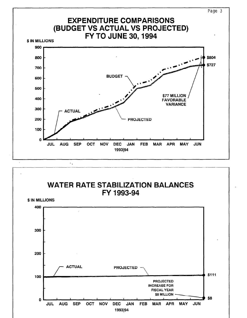

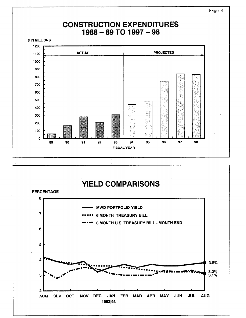

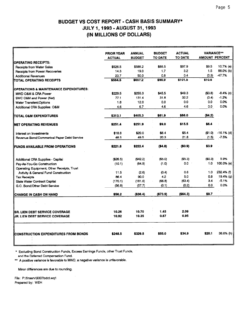|                                                   | <b>PRIOR YEAR</b> | <b>ANNUAL</b> | <b>BUDGET</b> | <b>ACTUAL</b>  | <b>VARIANCE**</b> |                       |
|---------------------------------------------------|-------------------|---------------|---------------|----------------|-------------------|-----------------------|
|                                                   | <b>ACTUAL</b>     | <b>BUDGET</b> | TO DATE       | <b>TO DATE</b> |                   | <b>AMOUNT PERCENT</b> |
| <b>OPERATING RECEIPTS:</b>                        |                   |               |               |                |                   |                       |
| <b>Receipts from Water Sales</b>                  | \$526.5           | \$588.2       | \$88.5        | \$97.9         | \$9.5             | 10.7% (a)             |
| <b>Receipts from Power Recoveries</b>             | 14.3              | 19.0          | 1.7           | 3.2            | 1.5               | 88.0% (b)             |
| <b>Additional Revenues</b>                        | 23.7              | 50.0          | 0.8           | 0.4            | (0.3)             | -47.7%                |
| TOTAL OPERATING RECEIPTS                          | \$564.5           | \$657.2       | \$90.9        | \$101.5        | \$10.6            |                       |
| <b>OPERATIONS &amp; MAINTENANCE EXPENDITURES:</b> |                   |               |               |                |                   |                       |
| MWD O&M & CRA Power                               | \$229.5           | \$255.3       | \$45.5        | \$49.3         | ( \$3.8)          | $-8.4%$ (c)           |
| SWC O&M and Power (Net)                           | 77.1              | 131.4         | 31.8          | 32.2           | (0.4)             | $-1.2%$               |
| Water Transfers\Options                           | 1.8               | 12.0          | 0.0           | 0.0            | 0.0               | 0.0%                  |
| Additional CRA Supplies: O&M                      | 4.6               | 6.7           | 4.6           | 4.6            | 0.0               | 0.0%                  |
| ITOTAL O&M EXPENDITURES                           | \$313.1           | \$405.3       | \$81.9        | \$86.0         | (\$4.2)           |                       |
| INET OPERATING REVENUES                           | \$251.4           | \$251.9       | \$9.0         | \$15.5         | \$6.4             |                       |
| Interest on Investments                           | \$18.8            | \$20.0        | \$6.4         | \$5.4          | (51.0)            | $-16.1%$ (d)          |
| Revenue Bond/Commerical Paper Debt Service        | 48.5              | 49.5          | 20.3          | 21.8           | (1.5)             | $-7.5%$               |
| <b>IFUNDS AVAILABLE FROM OPERATIONS</b>           | \$221.8           | \$222.4       | (\$4.8)       | (\$0.9)        | \$3.9             |                       |
| Additional CRA Supplies - Capital                 | (\$26.5)          | (\$42.2)      | (55.0)        | ( \$5.3)       | (\$0.3)           | 5.9%                  |
| Pay-As-You-Go Construction                        | (10.1)            | (64.9)        | (1.0)         | 0.0            | 1.0               | 100.0% (e)            |
| Operating Equipment, Other Receipts, Trust        |                   |               |               |                |                   |                       |
| Avtivity & General Fund Construction              | 11.5              | (2.6)         | (0.4)         | 0.6            | 1.0               | 232.4% (f)            |
| <b>Tax Receipts</b>                               | 86.4              | 90.0          | 4.2           | 5.0            | 0.8               | 19.4% (g)             |
| <b>State Water Contract Capital</b>               | (170.1)           | (181.6)       | (66.8)        | (63.4)         | 3.4               | $-5.1%$               |
| G.O. Bond/Other Debt Service                      | (56.8)            | (57.7)        | (0.1)         | (0.2)          | 0,0               | 0.0%                  |
| CHANGE IN CASH ON HAND                            | \$56.2            | ( \$36.4)     | ( \$73.9)     | (\$64.3)       | \$9.7             |                       |
|                                                   |                   |               |               |                |                   |                       |
| ISR. LIEN DEBT SERVICE COVERAGE                   | 10.26             | 10.70         | 1.45          | 2.09           |                   |                       |
| IJR. LIEN DEBT SERVICE COVERAGE                   | 10.92             | 10.35         | 0.67          | 0.95           |                   |                       |
| CONSTRUCTION EXPENDITURES FROM BONDS              | \$248.5           | \$329.8       | \$55.0        | \$34.9         | \$20.1            | 36.6% (h)             |
|                                                   |                   |               |               |                |                   |                       |

\* Excluding Bond Construction Funds, Excess Earnings Funds, other Trust Funds, and the Deferred Compensation Fund.

\*\* A positive variance is favorable to MWD, a negative variance is unfavorable.

Minor differences are due to rounding.

File: P:\finserv\9307bdct.wq1 Prepared by: WEH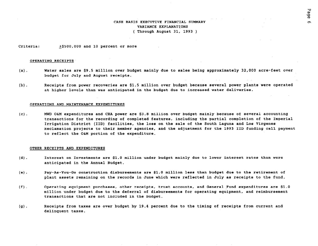#### CASH BASIS EXECUTIVE FINANCIAL SUMMARY VARIANCE EXPLANATIONS ( Through August 31, 1993 )

Criteria: +\$SOO,OOO and 10 percent or more

#### OPERATING RECEIPTS

- (a). Water sales are \$9.5 million over budget mainly due to sales being approximately 32,000 acre-feet over budget for July and August receipts.
- (b) . Receipts from power recoveries are \$1.5 million over budget because several power plants were operated at higher levels than was anticipated in the budget due to increased water deliveries.

#### OPERATIONS AND MAINTENANCE EXPENDITURES

 $(c)$ . MWD O&M expenditures and CRA power are \$3.8 million over budget mainly because of several accounting transactions for the recording of completed features, including the partial completion of the Imperial Irrigation District (IID) facilities, the loss on the sale of the South Laguna and Los Virgenes Reclamation projects to their member agencies, and the adjustment for the 1993 IID funding call payment to reflect the O&M portion of the expenditure.

#### OTHER RECEIPTS AND EXPENDITURES

- (d) . Interest on Investments are \$1.0 million under budget mainly due to lower interest rates than were anticipated in the Annual Budget.
- (e) . Pay-As-You-Go construction disbursements are \$1.0 million less than budget due to the retirement of plant assets remaining on the records in June which were reflected in July as receipts to the fund.
- $(f)$ . Operating equipment purchases, other receipts, trust accounts, and General Fund expenditures are \$1.0 million under budget due to the deferral of disbursements for operating equipment, and reimbursement transactions that are not included in the budget.
- (g). Receipts from taxes are over budget by 19.4 percent due to the timing of receipts from current and delinquent taxes.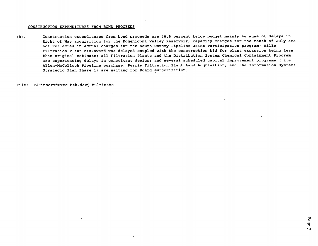#### CONSTRUCTION EXPENDITURES FROM BOND PROCEEDS

(h) . Construction expenditures from bond proceeds are 36.6 percent below budget mainly because of delays in Right of Way acquisition for the Domenigoni Valley Reservoir; capacity charges for the month of July are not reflected in actual charges for the South County Pipeline Joint Participation program; Mills Filtration Plant bid/award was delayed coupled with the construction bid for plant expansion being less than original estimate; all Filtration Plants and the Distribution System Chemical Containment Program are experiencing delays in consultant design; and several scheduled capital improvement programs ( i.e. Allen-McColloch Pipeline purchase, Perris Filtration Plant Land Acquisition, and the Information Systems Strategic Plan Phase 1) are waiting for Board authorization.

File: P®Finserv®Exec-Mth.dox¶ Multimate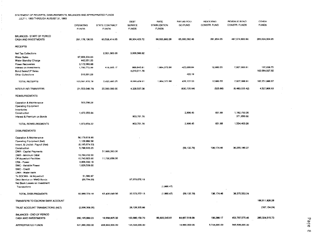### STATEMENT OF RECEIPTS, DISBURSEMENTS, BALANCES AND APPROPRIATED FUNDS

JULY I, 1993 THROUGH AUGUST 31,1993

 $\pm$  $\sim$ 

 $\alpha$  .

|                                               | <b>OPERATING</b><br><b>FUNDS</b> | STATE CONTRACT<br><b>FUNDS</b> | DEBT<br><b>SERVICE</b><br><b>FUNDS</b> | RATE<br><b>STABILIZATION</b><br><b>FUNDS</b> | PAY-AS-YOU-<br>GO FUND | <b>REVOLVING</b><br>CONSTR. FUND | REVENUE BOND<br>CONSTR. FUNDS | OTHER<br><b>FUNDS</b> |
|-----------------------------------------------|----------------------------------|--------------------------------|----------------------------------------|----------------------------------------------|------------------------|----------------------------------|-------------------------------|-----------------------|
| BALANCES - START OF PERIOD                    |                                  |                                |                                        |                                              |                        |                                  |                               |                       |
| CASH AND INVESTMENTS                          | 291, 178, 136, 55                | 60,538,414.05                  | 99,304,423.72                          | 98,055,882.28                                | 65,000,092.46          | 281,654.05                       | 487,074,693.94                | 265,024,004.95        |
| <b>RECEIPTS</b>                               |                                  |                                |                                        |                                              |                        |                                  |                               |                       |
| Net Tax Collections                           |                                  | 2,001,065.08                   | 3,009,566.92                           |                                              |                        |                                  |                               |                       |
| <b>Water Sales</b>                            | 97,906,334.63                    |                                |                                        |                                              |                        |                                  |                               |                       |
| Water Standby Charge                          | 442,051.00                       |                                |                                        |                                              |                        |                                  |                               |                       |
| <b>Power Recoveries</b>                       | 3,172,083.88                     |                                |                                        |                                              |                        |                                  |                               |                       |
| Interest on Investments                       | 1,760,772.99                     | 419,395.17                     | 869, 845.91                            | 1,864,372.86                                 | 425,699.84             | 12,680.55                        | 7,927,066.91                  | 167,658.75            |
| Bond Sales/CP Sales                           |                                  |                                | 4,210,011.78                           |                                              |                        |                                  |                               | 162,084,027.92        |
| Other Collections                             | 310,391.28                       |                                |                                        |                                              | 422.19                 |                                  |                               |                       |
| TOTAL RECEIPTS                                | 103,591,633.78                   | 2,420,460.25                   | 8,089,424.61                           | 1,864,372.86                                 | 426,122.03             | 12,680.55                        | 7,927,066.91                  | 162,251,686.67        |
| INTER-FUND TRANSFERS                          | (21, 553, 046, 79)               | 20,000,000.00                  | 4,339,537.08                           |                                              | (830, 735.64)          | (525.86)                         | (6, 483, 035, 42)             | 4,527,806.63          |
| <b>REIMBURSEMENTS</b>                         |                                  |                                |                                        |                                              |                        |                                  |                               |                       |
| Operation & Maintenance                       | 503,298.28                       |                                |                                        |                                              |                        |                                  |                               |                       |
| <b>Operating Equipment</b><br>inventories     |                                  |                                |                                        |                                              |                        |                                  |                               |                       |
| Construction                                  | 1,470,355.94                     |                                |                                        |                                              | 2,906.45               | 651.69                           | 1,182,753.26                  |                       |
| Interest & Premium on Bonds                   |                                  |                                | 903,701.76                             |                                              |                        |                                  | 371,650.00                    |                       |
| TOTAL REIMBURSEMENTS                          | 1,973,654.22                     |                                | 903,701.76                             |                                              | 2,906.45               | 651.69                           | 1,554,403.26                  |                       |
| <b>DISBURSEMENTS</b>                          |                                  |                                |                                        |                                              |                        |                                  |                               |                       |
| Operation & Maintenance                       | 56,179,618.99                    |                                |                                        |                                              |                        |                                  |                               |                       |
| Operating Equipment (Net)                     | 1,129,986.58                     |                                |                                        |                                              |                        |                                  |                               |                       |
| Invent. & Undistr. Payroll (Net)              | (6, 195, 674.53)                 |                                |                                        |                                              |                        |                                  |                               |                       |
| Construction                                  | 5,768,635.25                     |                                |                                        |                                              | (59, 132.79)           | 138, 174.46                      | 36,255,100.27                 |                       |
| <b>DWR</b> - Capital Payments                 |                                  | 51,669,393.00                  |                                        |                                              |                        |                                  |                               |                       |
| DWR - Minimum O&M                             | 19,784,232.00                    |                                |                                        |                                              |                        |                                  |                               |                       |
| Off Aqueduct Facilities                       | 10,743,925.00                    | 11,730,656.00                  |                                        |                                              |                        |                                  |                               |                       |
| CRA - Power                                   | 3,906,330.18                     |                                |                                        |                                              |                        |                                  |                               |                       |
| SWC - Variable Power                          | 1,626,539.00                     |                                |                                        |                                              |                        |                                  |                               |                       |
| SWC - Credit                                  |                                  |                                |                                        |                                              |                        |                                  |                               |                       |
| DWR - Water Bank                              |                                  |                                |                                        |                                              |                        |                                  |                               |                       |
| To SDCWA - ist Aqueduct                       | 51,580.97                        |                                | 37.073,272.13                          |                                              |                        |                                  |                               |                       |
| Debt Service on MWD Bonds                     | (26, 794.26)                     |                                |                                        |                                              |                        |                                  |                               |                       |
| Net Book Losses on Investment<br>Transactions |                                  |                                |                                        | (1,990.47)                                   |                        |                                  |                               |                       |
|                                               |                                  |                                |                                        |                                              |                        |                                  |                               |                       |
| TOTAL DISBURSEMENTS                           | 92,968,379.18                    | 63,400,049.00                  | 37,073,272.13                          | (1,990.47)                                   | (59, 132.79)           | 136, 174.46                      | 36,275,553.24                 |                       |
| TRANSFERS TO ESCROW BANK ACCOUNT              |                                  |                                |                                        |                                              |                        |                                  |                               | 166,611,828.28        |
| TRUST ACCOUNT TRANSACTIONS (NET)              | (2,006,309,35)                   |                                | 28,126,335.66                          |                                              |                        |                                  |                               | (167, 154.24)         |
| <b>BALANCES - END OF PERIOD</b>               |                                  |                                |                                        |                                              |                        |                                  |                               |                       |
| CASH AND INVESTMENTS                          | 280, 195, 689.23                 | 19,558,825.30                  | 103,690,150.70                         | 99, 922, 245.61                              | 64,657,518.09          | 156,286.17                       | 453,797,575.45                | 265,024,515.73        |
| APPROPRIATED FUNDS                            | 531,990,000.00                   | 228,644,000.00                 | 125,544,000,00                         |                                              | 19,890,000.00          | 5,704,000.00                     | 545,506,000.00                |                       |

 $\sim 10^{-1}$ 

 $\frac{1}{2}$ 

 $\sim$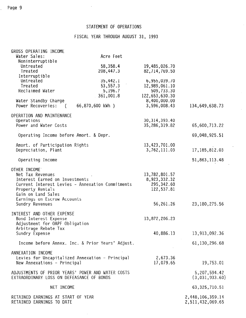### STATEMENT OF OPERATIONS

 $\hat{\mathcal{A}}$ 

# FISCAL YEAR THROUGH AUGUST 31, 1993

| GROSS OPERATING INCOME                                  |                  |                                |                  |
|---------------------------------------------------------|------------------|--------------------------------|------------------|
| Water Sales:<br>Noninterruptible                        | Acre Feet        |                                |                  |
| Untreated                                               | 58,358.4         | 19,485,026.70                  |                  |
| Treated                                                 | 208,447.3        | 82,714,769.50                  |                  |
| Interruptible                                           |                  |                                |                  |
| Untreated                                               | 35,442.1         | 6,955,039.70                   |                  |
| Treated                                                 | 53,557.3         | 12,989,061.10                  |                  |
| Reclaimed Water                                         | 5,196.7          | 509,733.30                     |                  |
| Water Standby Charge                                    | 361,001.8        | 122,653,630.30<br>8,400,000.00 |                  |
| Power Recoveries:<br>$\sqrt{2}$                         | 66,870,600 kWh ) | 3,596,008.43                   | 134,649,638.73   |
| OPERATION AND MAINTENANCE                               |                  |                                |                  |
| Operations                                              |                  | 30, 314, 393.40                |                  |
| Power and Water Costs                                   |                  | 35,286,319.82                  | 65,600,713.22    |
| Operating Income before Amort. & Depr.                  |                  |                                | 69,048,925.51    |
| Amort. of Participation Rights                          |                  | 13,423,701.00                  |                  |
| Depreciation, Plant                                     |                  | 3,762,111.03                   | 17, 185, 812.03  |
| Operating Income                                        |                  |                                | 51,863,113.48    |
| OTHER INCOME                                            |                  |                                |                  |
| Net Tax Revenues                                        |                  | 13,782,801.57                  |                  |
| Interest Earned on Investments                          |                  | 8,923,332.32                   |                  |
| Current Interest Levies - Annexation Commitments        |                  | 295,342.60<br>122,537.81       |                  |
| Property Rentals<br>Gain on Land Sales                  |                  |                                |                  |
| Earnings on Escrow Accounts                             |                  |                                |                  |
| Sundry Revenues                                         |                  | 56,261.26                      | 23, 180, 275.56  |
|                                                         |                  |                                |                  |
| INTEREST AND OTHER EXPENSE                              |                  |                                |                  |
| Bond Interest Expense<br>Adjustment for OAPF Obligation |                  | 13,872,206.23                  |                  |
| Arbitrage Rebate Tax                                    |                  |                                |                  |
| Sundry Expense                                          |                  | 40,886.13                      | 13,913,092.36    |
| Income before Annex. Inc. & Prior Years' Adjust.        |                  |                                | 61,130,296.68    |
| ANNEXATION INCOME                                       |                  |                                |                  |
| Levies for Uncapitalized Annexation - Principal         |                  | 2,673.36                       |                  |
| New Annexations - Principal                             |                  | 17,079.65                      | 19,753.01        |
| ADJUSTMENTS OF PRIOR YEARS' POWER AND WATER COSTS       |                  |                                | 5, 207, 594.42   |
| EXTRAORDINARY LOSS ON DEFEASANCE OF BONDS               |                  |                                | (3,031,933.60)   |
|                                                         |                  |                                |                  |
| NET INCOME                                              |                  |                                | 63, 325, 710.51  |
| RETAINED EARNINGS AT START OF YEAR                      |                  |                                | 2,448,106,359.14 |
| RETAINED EARNINGS TO DATE                               |                  |                                | 2,511,432,069.65 |

 $\hat{\mathbf{v}}$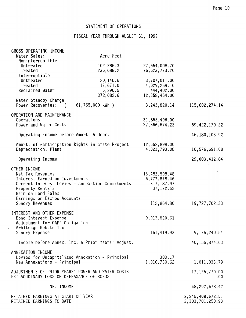$\bar{\alpha}$ 

### STATEMENT OF OPERATIONS

 $\sim$ 

## FISCAL YEAR THROUGH AUGUST 31, 1992

| GROSS OPERATING INCOME<br>Water Sales:                                                                                                                                                                             | Acre Feet                                    |                                                                         |                                         |
|--------------------------------------------------------------------------------------------------------------------------------------------------------------------------------------------------------------------|----------------------------------------------|-------------------------------------------------------------------------|-----------------------------------------|
| Noninterruptible<br>Untreated<br>Treated                                                                                                                                                                           | 102,286.3<br>236,688.2                       | 27,654,008.70<br>76,523,773.20                                          |                                         |
| Interruptible<br>Untreated<br>Treated<br>Reclaimed Water                                                                                                                                                           | 20,146.6<br>13,671.0<br>5,290.5<br>378,082.6 | 3,707,011.00<br>4,029,259.10<br>444,402.00<br>112,358,454.00            |                                         |
| Water Standby Charge<br>Power Recoveries:<br>$\sim$ (                                                                                                                                                              | 61,765,000 kWh )                             | 3, 243, 820. 14                                                         | 115,602,274.14                          |
| OPERATION AND MAINTENANCE<br>Operations<br>Power and Water Costs                                                                                                                                                   |                                              | 31,855,496.00<br>37,566,674.22                                          | 69, 422, 170.22                         |
| Operating Income before Amort. & Depr.                                                                                                                                                                             |                                              |                                                                         | 46, 180, 103.92                         |
| Amort. of Participation Rights in State Project<br>Depreciation, Plant                                                                                                                                             |                                              | 12,552,898.00<br>4,023,793.08                                           | 16,576,691.08                           |
| Operating Income                                                                                                                                                                                                   |                                              |                                                                         | 29,603,412.84                           |
| OTHER INCOME<br>Net Tax Revenues<br>Interest Earned on Investments<br>Current Interest Levies - Annexation Commitments<br>Property Rentals<br>Gain on Land Sales<br>Earnings on Escrow Accounts<br>Sundry Revenues |                                              | 13,482,598.48<br>5,777,878.46<br>317, 187.97<br>37,172.62<br>112,864.80 | 19,727,702.33                           |
| INTEREST AND OTHER EXPENSE<br>Bond Interest Expense<br>Adjustment for OAPF Obligation<br>Arbitrage Rebate Tax                                                                                                      |                                              | 9,013,820.61                                                            |                                         |
| Sundry Expense                                                                                                                                                                                                     |                                              | 161,419.93                                                              | 9, 175, 240.54                          |
| Income before Annex. Inc. & Prior Years' Adjust.                                                                                                                                                                   |                                              |                                                                         | 40, 155, 874.63                         |
| ANNEXATION INCOME<br>Levies for Uncapitalized Annexation - Principal<br>New Annexations - Principal                                                                                                                |                                              | 303.17<br>1,010,730.62                                                  | 1,011,033.79                            |
| ADJUSTMENTS OF PRIOR YEARS' POWER AND WATER COSTS<br>EXTRAORDINARY LOSS ON DEFEASANCE OF BONDS                                                                                                                     |                                              |                                                                         | 17, 125, 770.00<br>.00.                 |
| NET INCOME                                                                                                                                                                                                         |                                              |                                                                         | 58, 292, 678.42                         |
| RETAINED EARNINGS AT START OF YEAR<br>RETAINED EARNINGS TO DATE                                                                                                                                                    |                                              |                                                                         | 2, 245, 408, 572.51<br>2,303,701,250.93 |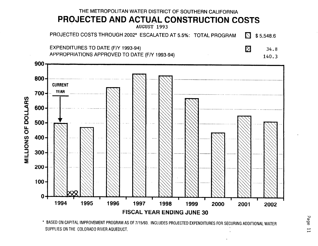

<sup>\*</sup> BASED ON CAPITAL IMPROVEMENT PROGRAM AS OF 7/15/93. INCLUDES PROJECTED EXPENDITURES FOR SECURING ADDITIONAL WATER SUPPLIES ON THE COLORADO RIVER AQUEDUCT.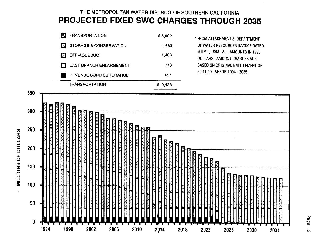# THE METROPOLITAN WATER DISTRICT OF SOUTHERN CALIFORNIA PROJECTED FIXED SWC CHARGES THROUGH 2035





Page  $\overline{z}$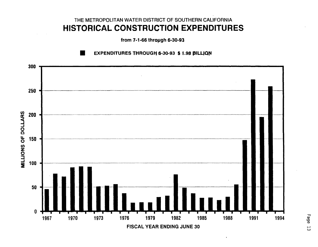# THE METROPOLITAN WATER DISTRICT OF SOUTHERN CALIFORNIA HISTORICAL CONSTRUCTION EXPENDITURES

from 7-1-66 through 6-30-93



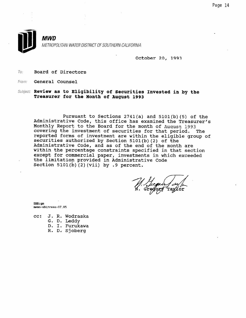

October 20, 1993

To: Board of Directors

From: General Counsel

Subject: Review as to Eligibility of Securities Invested in by the Treasurer for the Month of August 1993

Pursuant to Sections 2741(a) and 5101(b)(5) of the Administrative Code, this office has examined the Treasurer's Monthly Report to the Board for the month of August 1993 covering the investment of securities for that period. The reported forms of investment are within the eligible group of securities authorized by Section 5101(b)(2) of the Administrative Code, and as of the end of the month are within the percentage constraints specified in that section except for commercial paper, investments in which exceeded the limitation provided in Administrative Code Section  $5101(b)$  (2)(vii) by .9 percent.

M. Surgues fully

SBB: gm memo-sbltreas-07.93

cc: J. R. Wodraska

G. D. Leddy

D. I. Furukawa

R. D; Sjoberg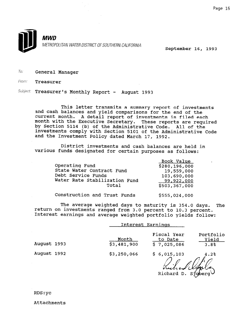

To: General Manager

From: Treasurer

Subject: Treasurer's Monthly Report - August 1993

This letter transmits a summary report of investments and cash balances and yield comparisons for the end of the current month. A detail report of investments is filed each month with the Executive Secretary. These reports are required by Section 5114 (b) of the Administrative Code. All of the investments comply with Section 5101 of the Administrative Code and the Investment Policy dated March 17, 1992.

District investments and cash balances are held in various funds designated for certain purposes as follows:

| Operating Fund<br>State Water Contract Fund<br>Debt Service Funds<br>Water Rate Stabilization Fund<br>Total | Book Value<br>\$280,196,000<br>19,559,000<br>103,690,000<br>99,922,000<br>\$503,367,000 |
|-------------------------------------------------------------------------------------------------------------|-----------------------------------------------------------------------------------------|
| Construction and Trust Funds                                                                                | \$555,024,000                                                                           |

The average weighted days to maturity is 354.0 days. The return on investments ranged from 3.0 percent to 10.3 percent. Interest earnings and average weighted portfolio yields follow:

|             | Interest Earnings    |                                       |                            |  |
|-------------|----------------------|---------------------------------------|----------------------------|--|
| August 1993 | Month<br>\$3,481,900 | Fiscal Year<br>to Date<br>\$7,025,086 | Portfolio<br>Yield<br>3.8% |  |
| August 1992 | \$3,250,066          | \$6,015,103                           | 4.2%                       |  |
|             |                      |                                       |                            |  |

Richard D. Sjoberg  $\vee$ 

RDS:yc

Attachments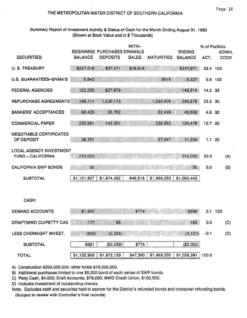### THE METROPOLITAN WATER DISTRICT OF SOUTHERN CALIFORNIA

### Summary Report of Investment Activity & Status of Cash for the Month Ending August 31, 1993 (Shown at Book Value and in \$ Thousands)

| <b>SECURITIES:</b>                                         | <b>BALANCE</b>     | BEGINNING PURCHASES DRAWALS<br><b>DEPOSITS</b> | WITH-<br><b>SALES</b> | <b>MATURITIES</b> | <b>ENDING</b><br><b>BALANCE</b> | % of Portfolio<br>ACT. | ADMIN.<br><b>CODE</b> |
|------------------------------------------------------------|--------------------|------------------------------------------------|-----------------------|-------------------|---------------------------------|------------------------|-----------------------|
| <b>U. S. TREASURY</b>                                      | \$257,016          | \$37,471                                       | \$46,616              |                   | \$247,871                       | 23.4 100               |                       |
| U.S. GUARANTEES-GNMA'S                                     | 5,843              |                                                |                       | \$616             | 5,227                           |                        | $0.5$ 100             |
| <b>FEDERAL AGENCIES</b>                                    | 122,235            | \$27,679                                       |                       |                   | 149,914                         | 14.2 33                |                       |
|                                                            |                    |                                                |                       |                   |                                 |                        |                       |
| REPURCHASE AGREEMENTS                                      | 166,111            | 1,630,173                                      |                       | 1,549,406         | 246,878                         | 23.3                   | -30                   |
| <b>BANKERS' ACCEPTANCES</b>                                | 66,425             | 35,762                                         |                       | 53.499            | 48,688                          | 4.5 30                 |                       |
| <b>COMMERCIAL PAPER</b>                                    | 230,561            | 143,307                                        |                       | 238,392           | 135.476                         | 12.7 20                |                       |
| NEGOTIABLE CERTIFICATES<br>OF DEPOSIT                      | 38,701             |                                                |                       | 27,347            | 11,354                          | 1.1                    | -20                   |
| <b>LOCAL AGENCY INVESTMENT</b><br><b>FUND - CALIFORNIA</b> | 215,000            |                                                |                       |                   | 215,000                         | 20.3                   | (A)                   |
| <b>CALIFORNIA SWP BONDS</b>                                | 35                 |                                                |                       |                   | 35 <sub>2</sub>                 | 0.0                    | (B)                   |
| <b>SUBTOTAL</b>                                            | \$1,101,927        | \$1,874,392                                    | \$46,616              | \$1,869,260       | \$1,060,443                     |                        |                       |
|                                                            |                    |                                                |                       |                   |                                 |                        |                       |
| CASH:                                                      |                    |                                                |                       |                   |                                 |                        |                       |
| <b>DEMAND ACCOUNTS</b>                                     | \$1,660            |                                                | \$774                 |                   | \$886                           | 0.1                    | 100                   |
| DRAFT/MWD CU/PETTY CAS                                     | BB<br>17 <i>ae</i> | \$6                                            |                       |                   | 183                             | 0.0                    | (C)                   |
| LESS OVERNIGHT INVEST.                                     | (856)              | (2, 265)                                       |                       |                   | (3, 121)                        | $-0.1$                 | (D)                   |
| <b>SUBTOTAL</b>                                            | \$981              | (\$2,259)                                      | \$774                 |                   | (\$2,052)                       |                        |                       |
| <b>TOTAL</b>                                               | \$1,102,908        | \$1,872,133                                    | \$47,390              | \$1,869,260       | \$1,058,391                     | 100.0                  |                       |

A) Construction \$200,000,000; other funds \$15,000,000.

B) Additional purchases limited to one \$5,000 bond of each series of SWP bonds.

C) Petty Cash, \$4,000; Draft Accounts, \$79,000; MWD Credit Union, \$100,000.

D) Includes investment of outstanding checks.

Note: Excludes cash and securites held in escrow for the District's refunded bonds and crossover refunding bonds. (Subject to review with Controller's final records)